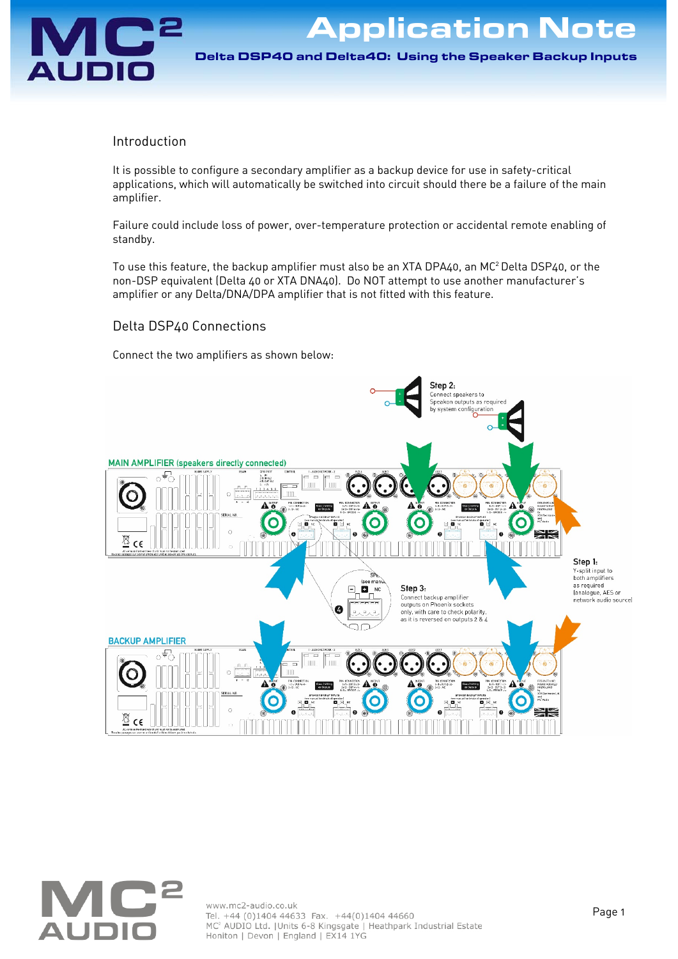

Application Note

Delta DSP40 and Delta40: Using the Speaker Backup Inputs Delta DSP40 and Delta40: Using the Speaker Backup Inputs

## Introduction

It is possible to configure a secondary amplifier as a backup device for use in safety-critical applications, which will automatically be switched into circuit should there be a failure of the main amplifier.

Failure could include loss of power, over-temperature protection or accidental remote enabling of standby.

To use this feature, the backup amplifier must also be an XTA DPA40, an MC2 Delta DSP40, or the non-DSP equivalent (Delta 40 or XTA DNA40). Do NOT attempt to use another manufacturer's amplifier or any Delta/DNA/DPA amplifier that is not fitted with this feature.

## Delta DSP40 Connections

Connect the two amplifiers as shown below: